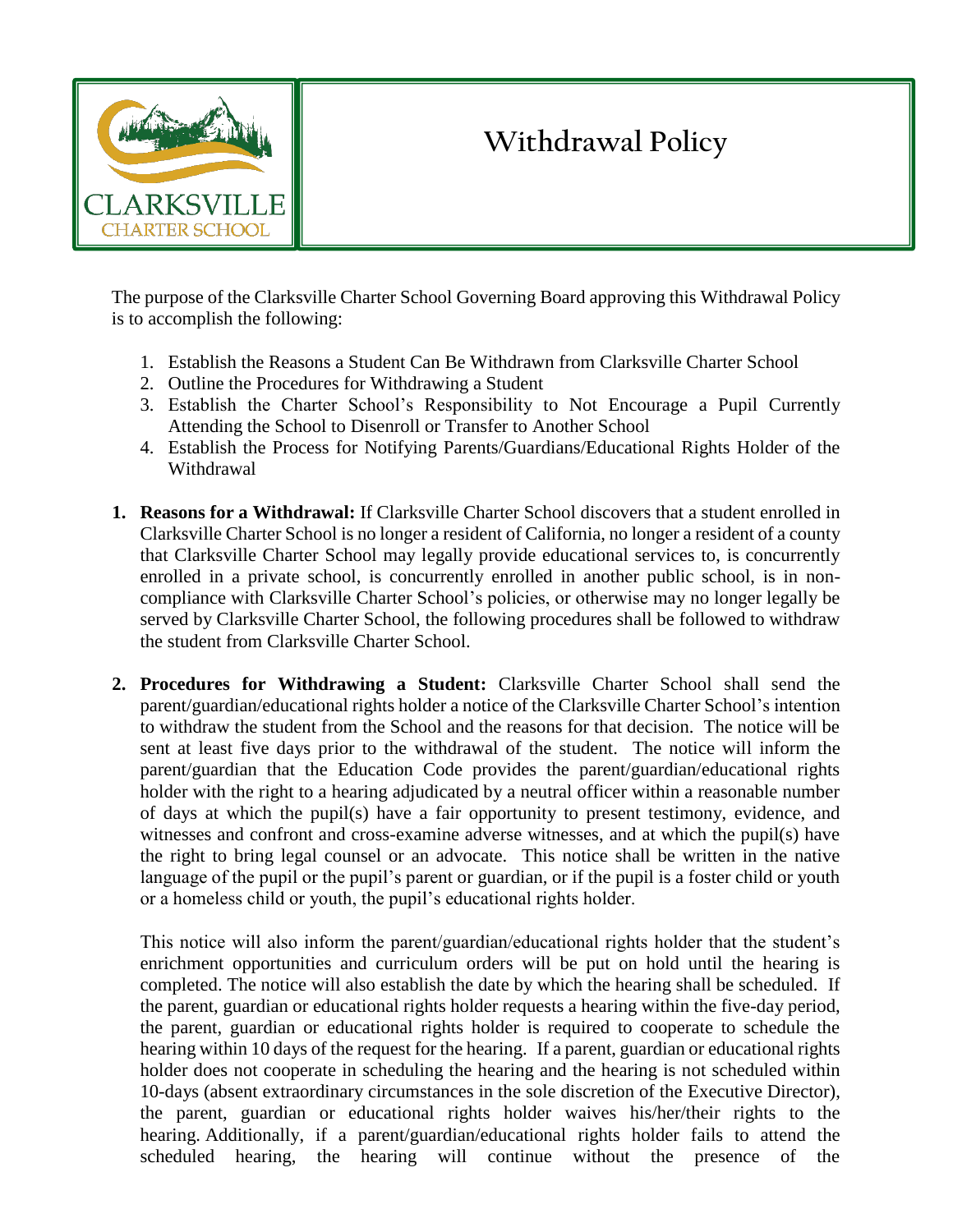

## **Withdrawal Policy**

The purpose of the Clarksville Charter School Governing Board approving this Withdrawal Policy is to accomplish the following:

- 1. Establish the Reasons a Student Can Be Withdrawn from Clarksville Charter School
- 2. Outline the Procedures for Withdrawing a Student
- 3. Establish the Charter School's Responsibility to Not Encourage a Pupil Currently Attending the School to Disenroll or Transfer to Another School
- 4. Establish the Process for Notifying Parents/Guardians/Educational Rights Holder of the Withdrawal
- **1. Reasons for a Withdrawal:** If Clarksville Charter School discovers that a student enrolled in Clarksville Charter School is no longer a resident of California, no longer a resident of a county that Clarksville Charter School may legally provide educational services to, is concurrently enrolled in a private school, is concurrently enrolled in another public school, is in noncompliance with Clarksville Charter School's policies, or otherwise may no longer legally be served by Clarksville Charter School, the following procedures shall be followed to withdraw the student from Clarksville Charter School.
- **2. Procedures for Withdrawing a Student:** Clarksville Charter School shall send the parent/guardian/educational rights holder a notice of the Clarksville Charter School's intention to withdraw the student from the School and the reasons for that decision. The notice will be sent at least five days prior to the withdrawal of the student. The notice will inform the parent/guardian that the Education Code provides the parent/guardian/educational rights holder with the right to a hearing adjudicated by a neutral officer within a reasonable number of days at which the pupil(s) have a fair opportunity to present testimony, evidence, and witnesses and confront and cross-examine adverse witnesses, and at which the pupil(s) have the right to bring legal counsel or an advocate. This notice shall be written in the native language of the pupil or the pupil's parent or guardian, or if the pupil is a foster child or youth or a homeless child or youth, the pupil's educational rights holder.

This notice will also inform the parent/guardian/educational rights holder that the student's enrichment opportunities and curriculum orders will be put on hold until the hearing is completed. The notice will also establish the date by which the hearing shall be scheduled. If the parent, guardian or educational rights holder requests a hearing within the five-day period, the parent, guardian or educational rights holder is required to cooperate to schedule the hearing within 10 days of the request for the hearing. If a parent, guardian or educational rights holder does not cooperate in scheduling the hearing and the hearing is not scheduled within 10-days (absent extraordinary circumstances in the sole discretion of the Executive Director), the parent, guardian or educational rights holder waives his/her/their rights to the hearing. Additionally, if a parent/guardian/educational rights holder fails to attend the scheduled hearing, the hearing will continue without the presence of the